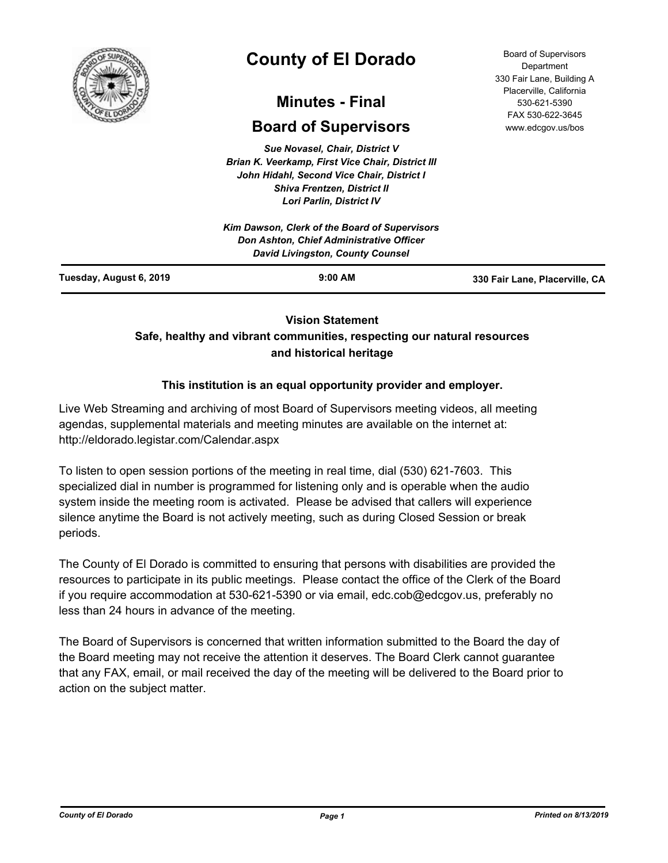

# **County of El Dorado**

## **Minutes - Final**

## **Board of Supervisors**

*Sue Novasel, Chair, District V Brian K. Veerkamp, First Vice Chair, District III John Hidahl, Second Vice Chair, District I Shiva Frentzen, District II Lori Parlin, District IV*

|                         | Kim Dawson, Clerk of the Board of Supervisors<br><b>Don Ashton, Chief Administrative Officer</b><br><b>David Livingston, County Counsel</b> |                                |
|-------------------------|---------------------------------------------------------------------------------------------------------------------------------------------|--------------------------------|
| Tuesday, August 6, 2019 | $9:00$ AM                                                                                                                                   | 330 Fair Lane, Placerville, CA |

## **Vision Statement**

## **Safe, healthy and vibrant communities, respecting our natural resources and historical heritage**

## **This institution is an equal opportunity provider and employer.**

Live Web Streaming and archiving of most Board of Supervisors meeting videos, all meeting agendas, supplemental materials and meeting minutes are available on the internet at: http://eldorado.legistar.com/Calendar.aspx

To listen to open session portions of the meeting in real time, dial (530) 621-7603. This specialized dial in number is programmed for listening only and is operable when the audio system inside the meeting room is activated. Please be advised that callers will experience silence anytime the Board is not actively meeting, such as during Closed Session or break periods.

The County of El Dorado is committed to ensuring that persons with disabilities are provided the resources to participate in its public meetings. Please contact the office of the Clerk of the Board if you require accommodation at 530-621-5390 or via email, edc.cob@edcgov.us, preferably no less than 24 hours in advance of the meeting.

The Board of Supervisors is concerned that written information submitted to the Board the day of the Board meeting may not receive the attention it deserves. The Board Clerk cannot guarantee that any FAX, email, or mail received the day of the meeting will be delivered to the Board prior to action on the subject matter.

Board of Supervisors Department 330 Fair Lane, Building A Placerville, California 530-621-5390 FAX 530-622-3645 www.edcgov.us/bos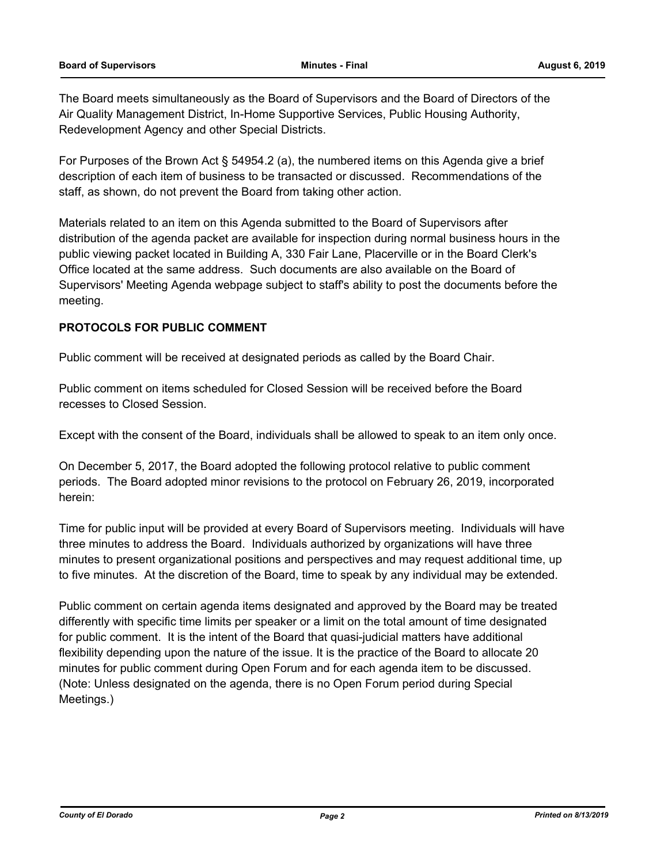The Board meets simultaneously as the Board of Supervisors and the Board of Directors of the Air Quality Management District, In-Home Supportive Services, Public Housing Authority, Redevelopment Agency and other Special Districts.

For Purposes of the Brown Act § 54954.2 (a), the numbered items on this Agenda give a brief description of each item of business to be transacted or discussed. Recommendations of the staff, as shown, do not prevent the Board from taking other action.

Materials related to an item on this Agenda submitted to the Board of Supervisors after distribution of the agenda packet are available for inspection during normal business hours in the public viewing packet located in Building A, 330 Fair Lane, Placerville or in the Board Clerk's Office located at the same address. Such documents are also available on the Board of Supervisors' Meeting Agenda webpage subject to staff's ability to post the documents before the meeting.

## **PROTOCOLS FOR PUBLIC COMMENT**

Public comment will be received at designated periods as called by the Board Chair.

Public comment on items scheduled for Closed Session will be received before the Board recesses to Closed Session.

Except with the consent of the Board, individuals shall be allowed to speak to an item only once.

On December 5, 2017, the Board adopted the following protocol relative to public comment periods. The Board adopted minor revisions to the protocol on February 26, 2019, incorporated herein:

Time for public input will be provided at every Board of Supervisors meeting. Individuals will have three minutes to address the Board. Individuals authorized by organizations will have three minutes to present organizational positions and perspectives and may request additional time, up to five minutes. At the discretion of the Board, time to speak by any individual may be extended.

Public comment on certain agenda items designated and approved by the Board may be treated differently with specific time limits per speaker or a limit on the total amount of time designated for public comment. It is the intent of the Board that quasi-judicial matters have additional flexibility depending upon the nature of the issue. It is the practice of the Board to allocate 20 minutes for public comment during Open Forum and for each agenda item to be discussed. (Note: Unless designated on the agenda, there is no Open Forum period during Special Meetings.)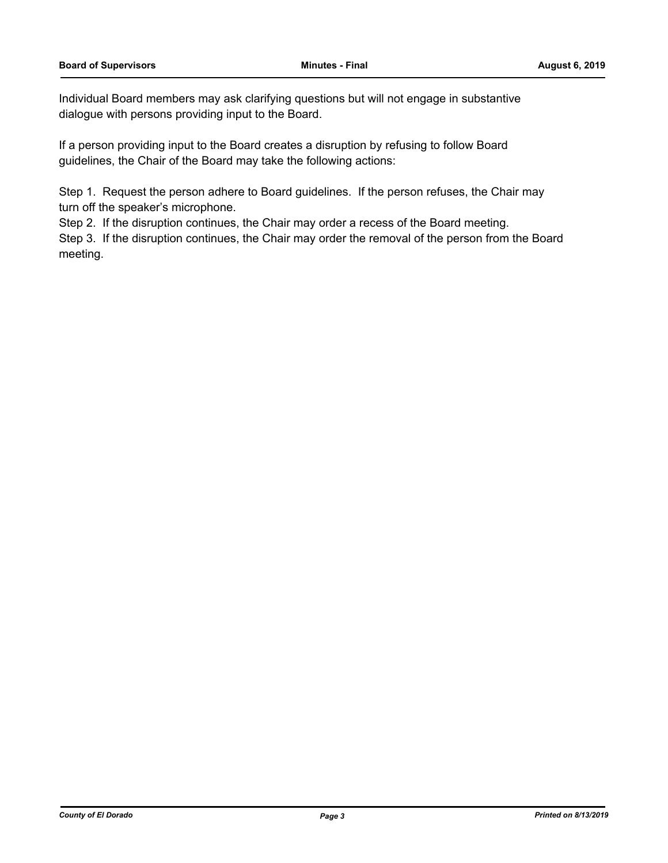Individual Board members may ask clarifying questions but will not engage in substantive dialogue with persons providing input to the Board.

If a person providing input to the Board creates a disruption by refusing to follow Board guidelines, the Chair of the Board may take the following actions:

Step 1. Request the person adhere to Board guidelines. If the person refuses, the Chair may turn off the speaker's microphone.

Step 2. If the disruption continues, the Chair may order a recess of the Board meeting.

Step 3. If the disruption continues, the Chair may order the removal of the person from the Board meeting.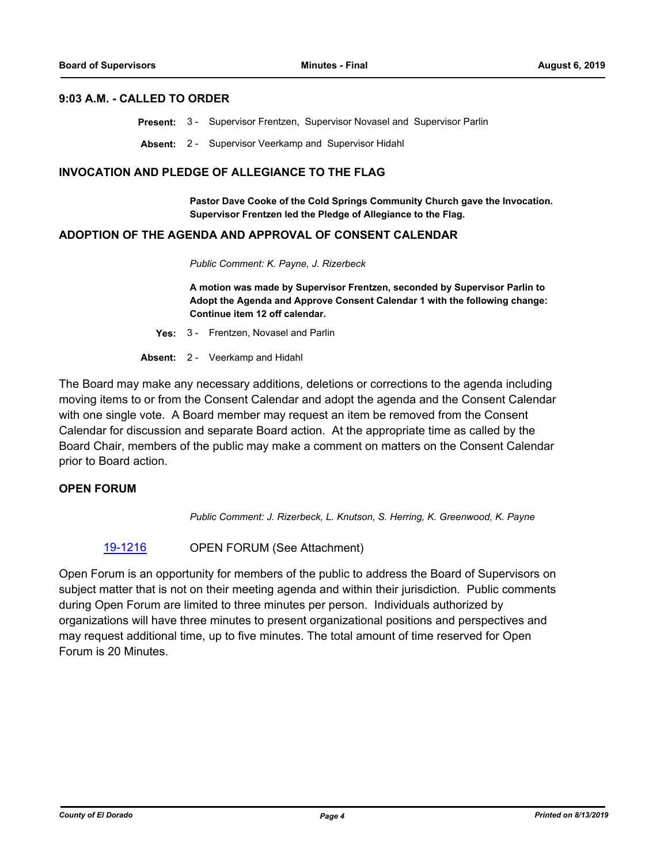#### **9:03 A.M. - CALLED TO ORDER**

**Present:** 3 - Supervisor Frentzen, Supervisor Novasel and Supervisor Parlin

**Absent:** 2 - Supervisor Veerkamp and Supervisor Hidahl

#### **INVOCATION AND PLEDGE OF ALLEGIANCE TO THE FLAG**

**Pastor Dave Cooke of the Cold Springs Community Church gave the Invocation. Supervisor Frentzen led the Pledge of Allegiance to the Flag.**

## **ADOPTION OF THE AGENDA AND APPROVAL OF CONSENT CALENDAR**

*Public Comment: K. Payne, J. Rizerbeck*

**A motion was made by Supervisor Frentzen, seconded by Supervisor Parlin to Adopt the Agenda and Approve Consent Calendar 1 with the following change: Continue item 12 off calendar.**

- **Yes:** 3 Frentzen, Novasel and Parlin
- **Absent:** 2 Veerkamp and Hidahl

The Board may make any necessary additions, deletions or corrections to the agenda including moving items to or from the Consent Calendar and adopt the agenda and the Consent Calendar with one single vote. A Board member may request an item be removed from the Consent Calendar for discussion and separate Board action. At the appropriate time as called by the Board Chair, members of the public may make a comment on matters on the Consent Calendar prior to Board action.

## **OPEN FORUM**

*Public Comment: J. Rizerbeck, L. Knutson, S. Herring, K. Greenwood, K. Payne*

#### [19-1216](http://eldorado.legistar.com/gateway.aspx?m=l&id=/matter.aspx?key=26539) OPEN FORUM (See Attachment)

Open Forum is an opportunity for members of the public to address the Board of Supervisors on subject matter that is not on their meeting agenda and within their jurisdiction. Public comments during Open Forum are limited to three minutes per person. Individuals authorized by organizations will have three minutes to present organizational positions and perspectives and may request additional time, up to five minutes. The total amount of time reserved for Open Forum is 20 Minutes.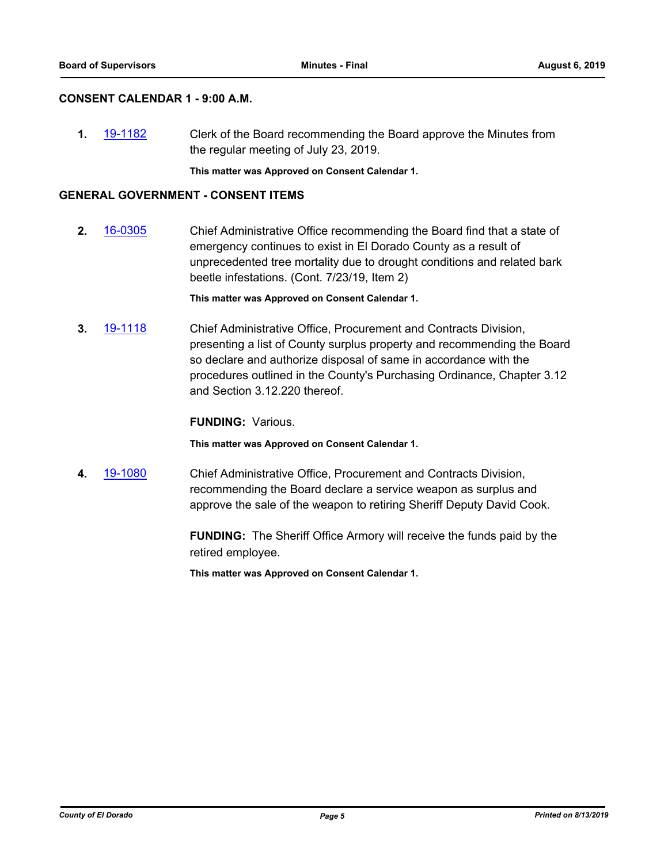## **CONSENT CALENDAR 1 - 9:00 A.M.**

**1.** [19-1182](http://eldorado.legistar.com/gateway.aspx?m=l&id=/matter.aspx?key=26505) Clerk of the Board recommending the Board approve the Minutes from the regular meeting of July 23, 2019.

**This matter was Approved on Consent Calendar 1.**

## **GENERAL GOVERNMENT - CONSENT ITEMS**

**2.** [16-0305](http://eldorado.legistar.com/gateway.aspx?m=l&id=/matter.aspx?key=20961) Chief Administrative Office recommending the Board find that a state of emergency continues to exist in El Dorado County as a result of unprecedented tree mortality due to drought conditions and related bark beetle infestations. (Cont. 7/23/19, Item 2)

**This matter was Approved on Consent Calendar 1.**

**3.** [19-1118](http://eldorado.legistar.com/gateway.aspx?m=l&id=/matter.aspx?key=26440) Chief Administrative Office, Procurement and Contracts Division, presenting a list of County surplus property and recommending the Board so declare and authorize disposal of same in accordance with the procedures outlined in the County's Purchasing Ordinance, Chapter 3.12 and Section 3.12.220 thereof.

**FUNDING:** Various.

**This matter was Approved on Consent Calendar 1.**

**4.** [19-1080](http://eldorado.legistar.com/gateway.aspx?m=l&id=/matter.aspx?key=26402) Chief Administrative Office, Procurement and Contracts Division, recommending the Board declare a service weapon as surplus and approve the sale of the weapon to retiring Sheriff Deputy David Cook.

> **FUNDING:** The Sheriff Office Armory will receive the funds paid by the retired employee.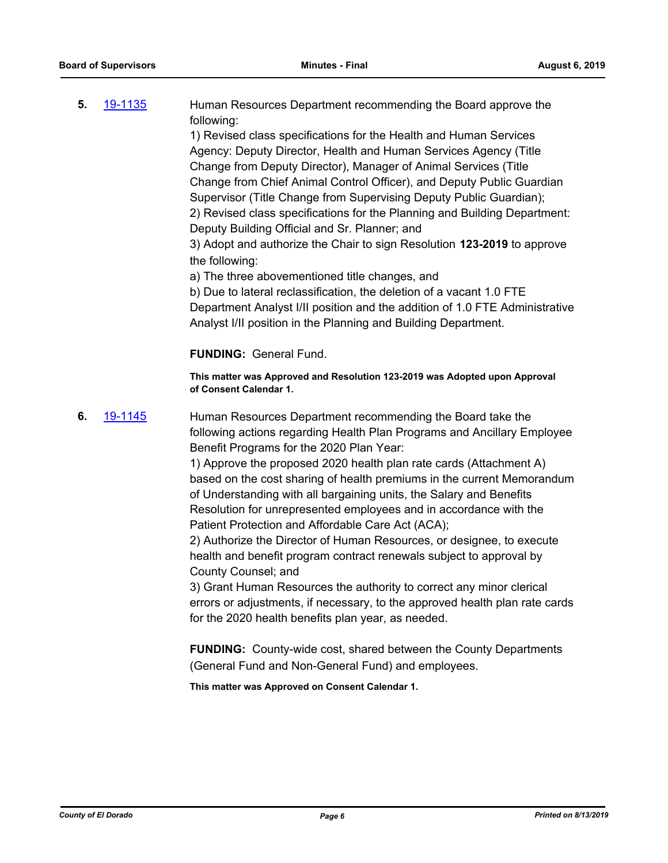**5.** [19-1135](http://eldorado.legistar.com/gateway.aspx?m=l&id=/matter.aspx?key=26457) Human Resources Department recommending the Board approve the following:

1) Revised class specifications for the Health and Human Services Agency: Deputy Director, Health and Human Services Agency (Title Change from Deputy Director), Manager of Animal Services (Title Change from Chief Animal Control Officer), and Deputy Public Guardian Supervisor (Title Change from Supervising Deputy Public Guardian); 2) Revised class specifications for the Planning and Building Department: Deputy Building Official and Sr. Planner; and

3) Adopt and authorize the Chair to sign Resolution **123-2019** to approve the following:

a) The three abovementioned title changes, and

b) Due to lateral reclassification, the deletion of a vacant 1.0 FTE Department Analyst I/II position and the addition of 1.0 FTE Administrative Analyst I/II position in the Planning and Building Department.

## **FUNDING:** General Fund.

**This matter was Approved and Resolution 123-2019 was Adopted upon Approval of Consent Calendar 1.**

**6.** [19-1145](http://eldorado.legistar.com/gateway.aspx?m=l&id=/matter.aspx?key=26467) Human Resources Department recommending the Board take the following actions regarding Health Plan Programs and Ancillary Employee Benefit Programs for the 2020 Plan Year:

> 1) Approve the proposed 2020 health plan rate cards (Attachment A) based on the cost sharing of health premiums in the current Memorandum of Understanding with all bargaining units, the Salary and Benefits Resolution for unrepresented employees and in accordance with the Patient Protection and Affordable Care Act (ACA);

2) Authorize the Director of Human Resources, or designee, to execute health and benefit program contract renewals subject to approval by County Counsel; and

3) Grant Human Resources the authority to correct any minor clerical errors or adjustments, if necessary, to the approved health plan rate cards for the 2020 health benefits plan year, as needed.

**FUNDING:** County-wide cost, shared between the County Departments (General Fund and Non-General Fund) and employees.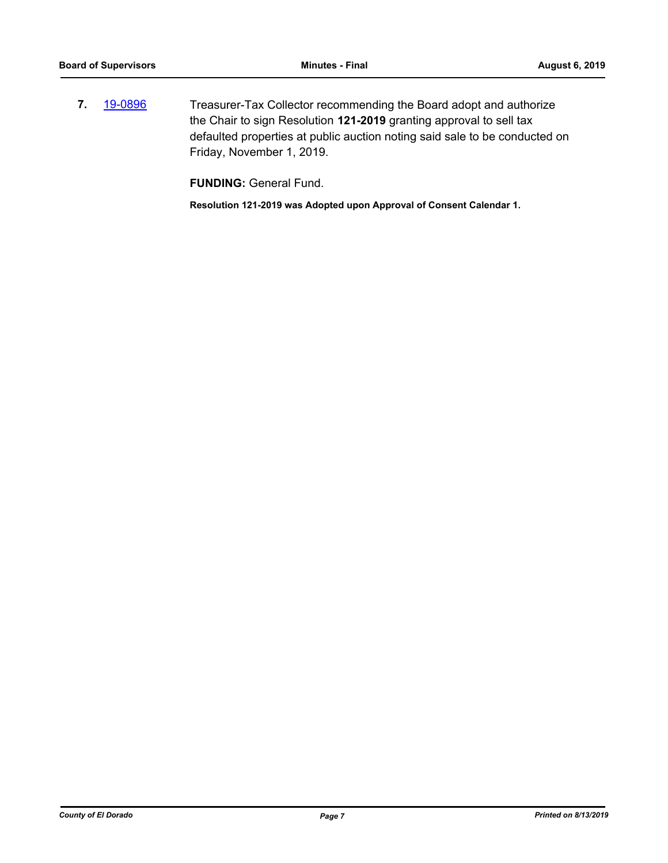**7.** [19-0896](http://eldorado.legistar.com/gateway.aspx?m=l&id=/matter.aspx?key=26219) Treasurer-Tax Collector recommending the Board adopt and authorize the Chair to sign Resolution **121-2019** granting approval to sell tax defaulted properties at public auction noting said sale to be conducted on Friday, November 1, 2019.

**FUNDING:** General Fund.

**Resolution 121-2019 was Adopted upon Approval of Consent Calendar 1.**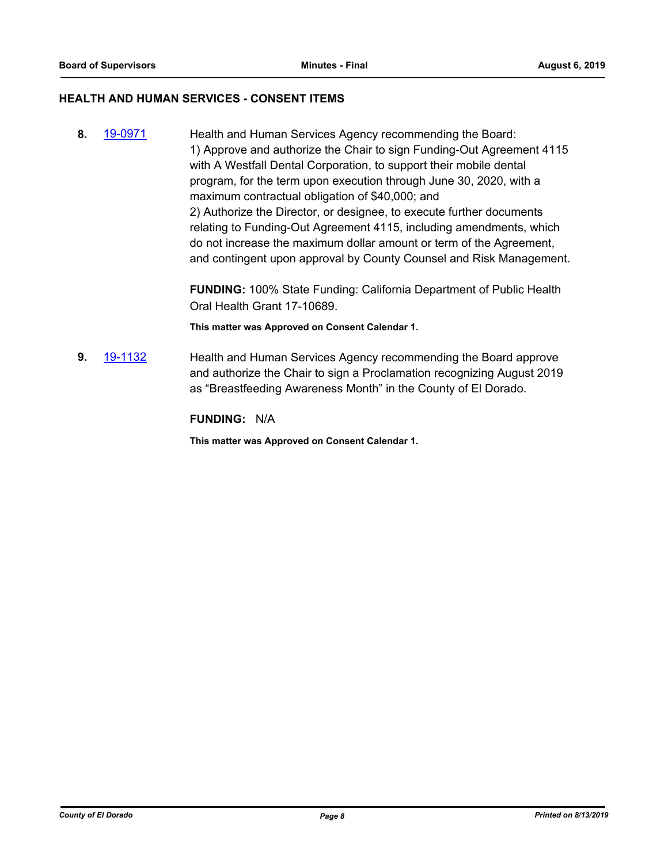## **HEALTH AND HUMAN SERVICES - CONSENT ITEMS**

**8.** [19-0971](http://eldorado.legistar.com/gateway.aspx?m=l&id=/matter.aspx?key=26294) Health and Human Services Agency recommending the Board: 1) Approve and authorize the Chair to sign Funding-Out Agreement 4115 with A Westfall Dental Corporation, to support their mobile dental program, for the term upon execution through June 30, 2020, with a maximum contractual obligation of \$40,000; and 2) Authorize the Director, or designee, to execute further documents relating to Funding-Out Agreement 4115, including amendments, which do not increase the maximum dollar amount or term of the Agreement, and contingent upon approval by County Counsel and Risk Management.

> **FUNDING:** 100% State Funding: California Department of Public Health Oral Health Grant 17-10689.

**This matter was Approved on Consent Calendar 1.**

**9.** [19-1132](http://eldorado.legistar.com/gateway.aspx?m=l&id=/matter.aspx?key=26454) Health and Human Services Agency recommending the Board approve and authorize the Chair to sign a Proclamation recognizing August 2019 as "Breastfeeding Awareness Month" in the County of El Dorado.

**FUNDING:** N/A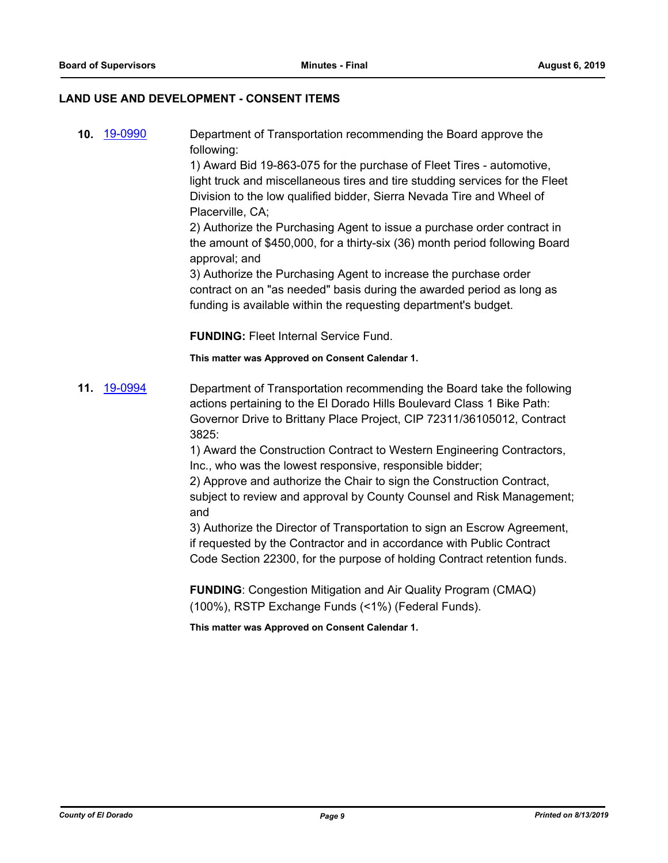## **LAND USE AND DEVELOPMENT - CONSENT ITEMS**

**10.** [19-0990](http://eldorado.legistar.com/gateway.aspx?m=l&id=/matter.aspx?key=26313) Department of Transportation recommending the Board approve the following:

> 1) Award Bid 19-863-075 for the purchase of Fleet Tires - automotive, light truck and miscellaneous tires and tire studding services for the Fleet Division to the low qualified bidder, Sierra Nevada Tire and Wheel of Placerville, CA;

> 2) Authorize the Purchasing Agent to issue a purchase order contract in the amount of \$450,000, for a thirty-six (36) month period following Board approval; and

3) Authorize the Purchasing Agent to increase the purchase order contract on an "as needed" basis during the awarded period as long as funding is available within the requesting department's budget.

**FUNDING:** Fleet Internal Service Fund.

**This matter was Approved on Consent Calendar 1.**

**11.** [19-0994](http://eldorado.legistar.com/gateway.aspx?m=l&id=/matter.aspx?key=26317) Department of Transportation recommending the Board take the following actions pertaining to the El Dorado Hills Boulevard Class 1 Bike Path: Governor Drive to Brittany Place Project, CIP 72311/36105012, Contract 3825:

> 1) Award the Construction Contract to Western Engineering Contractors, Inc., who was the lowest responsive, responsible bidder;

2) Approve and authorize the Chair to sign the Construction Contract, subject to review and approval by County Counsel and Risk Management; and

3) Authorize the Director of Transportation to sign an Escrow Agreement, if requested by the Contractor and in accordance with Public Contract Code Section 22300, for the purpose of holding Contract retention funds.

**FUNDING**: Congestion Mitigation and Air Quality Program (CMAQ) (100%), RSTP Exchange Funds (<1%) (Federal Funds).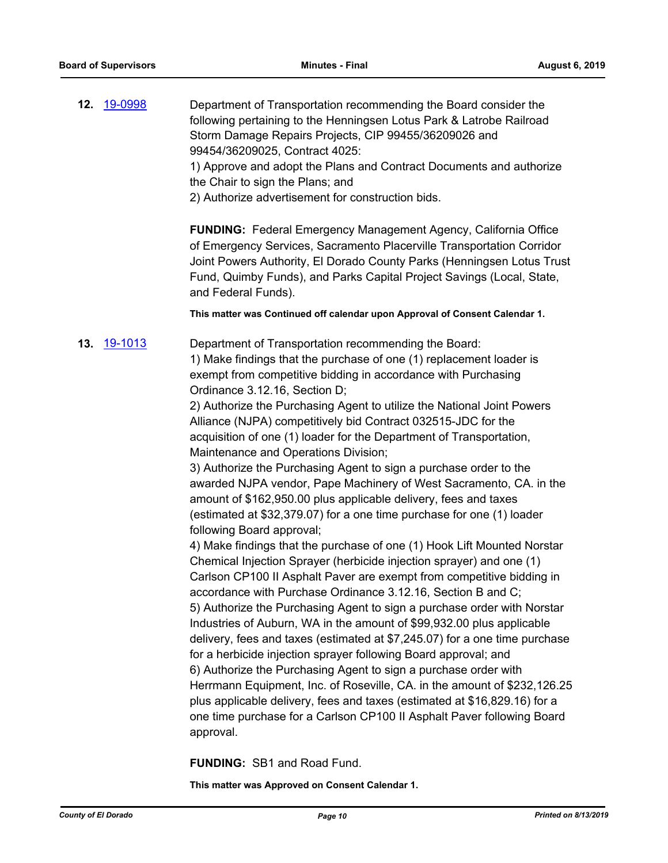**12.** [19-0998](http://eldorado.legistar.com/gateway.aspx?m=l&id=/matter.aspx?key=26321) Department of Transportation recommending the Board consider the following pertaining to the Henningsen Lotus Park & Latrobe Railroad Storm Damage Repairs Projects, CIP 99455/36209026 and 99454/36209025, Contract 4025:

1) Approve and adopt the Plans and Contract Documents and authorize the Chair to sign the Plans; and

2) Authorize advertisement for construction bids.

**FUNDING:** Federal Emergency Management Agency, California Office of Emergency Services, Sacramento Placerville Transportation Corridor Joint Powers Authority, El Dorado County Parks (Henningsen Lotus Trust Fund, Quimby Funds), and Parks Capital Project Savings (Local, State, and Federal Funds).

**This matter was Continued off calendar upon Approval of Consent Calendar 1.**

**13.** [19-1013](http://eldorado.legistar.com/gateway.aspx?m=l&id=/matter.aspx?key=26335) Department of Transportation recommending the Board: 1) Make findings that the purchase of one (1) replacement loader is exempt from competitive bidding in accordance with Purchasing Ordinance 3.12.16, Section D;

2) Authorize the Purchasing Agent to utilize the National Joint Powers Alliance (NJPA) competitively bid Contract 032515-JDC for the acquisition of one (1) loader for the Department of Transportation, Maintenance and Operations Division;

3) Authorize the Purchasing Agent to sign a purchase order to the awarded NJPA vendor, Pape Machinery of West Sacramento, CA. in the amount of \$162,950.00 plus applicable delivery, fees and taxes (estimated at \$32,379.07) for a one time purchase for one (1) loader following Board approval;

4) Make findings that the purchase of one (1) Hook Lift Mounted Norstar Chemical Injection Sprayer (herbicide injection sprayer) and one (1) Carlson CP100 II Asphalt Paver are exempt from competitive bidding in accordance with Purchase Ordinance 3.12.16, Section B and C; 5) Authorize the Purchasing Agent to sign a purchase order with Norstar Industries of Auburn, WA in the amount of \$99,932.00 plus applicable delivery, fees and taxes (estimated at \$7,245.07) for a one time purchase for a herbicide injection sprayer following Board approval; and 6) Authorize the Purchasing Agent to sign a purchase order with Herrmann Equipment, Inc. of Roseville, CA. in the amount of \$232,126.25 plus applicable delivery, fees and taxes (estimated at \$16,829.16) for a one time purchase for a Carlson CP100 II Asphalt Paver following Board approval.

**FUNDING:** SB1 and Road Fund.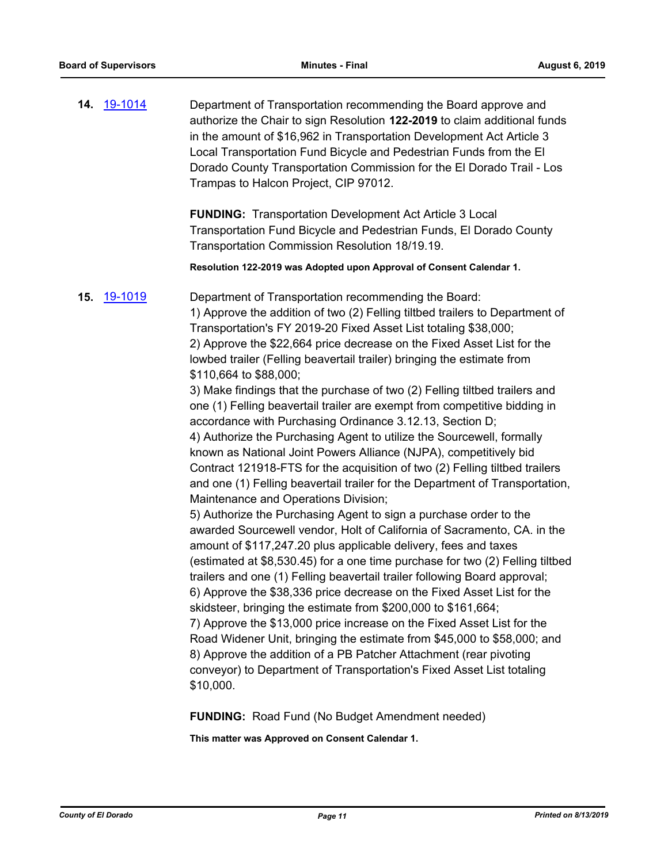**14.** [19-1014](http://eldorado.legistar.com/gateway.aspx?m=l&id=/matter.aspx?key=26336) Department of Transportation recommending the Board approve and authorize the Chair to sign Resolution **122-2019** to claim additional funds in the amount of \$16,962 in Transportation Development Act Article 3 Local Transportation Fund Bicycle and Pedestrian Funds from the El Dorado County Transportation Commission for the El Dorado Trail - Los Trampas to Halcon Project, CIP 97012.

> **FUNDING:** Transportation Development Act Article 3 Local Transportation Fund Bicycle and Pedestrian Funds, El Dorado County Transportation Commission Resolution 18/19.19.

**Resolution 122-2019 was Adopted upon Approval of Consent Calendar 1.**

## **15.** [19-1019](http://eldorado.legistar.com/gateway.aspx?m=l&id=/matter.aspx?key=26341) Department of Transportation recommending the Board: 1) Approve the addition of two (2) Felling tiltbed trailers to Department of Transportation's FY 2019-20 Fixed Asset List totaling \$38,000; 2) Approve the \$22,664 price decrease on the Fixed Asset List for the lowbed trailer (Felling beavertail trailer) bringing the estimate from \$110,664 to \$88,000;

3) Make findings that the purchase of two (2) Felling tiltbed trailers and one (1) Felling beavertail trailer are exempt from competitive bidding in accordance with Purchasing Ordinance 3.12.13, Section D; 4) Authorize the Purchasing Agent to utilize the Sourcewell, formally known as National Joint Powers Alliance (NJPA), competitively bid Contract 121918-FTS for the acquisition of two (2) Felling tiltbed trailers and one (1) Felling beavertail trailer for the Department of Transportation, Maintenance and Operations Division;

5) Authorize the Purchasing Agent to sign a purchase order to the awarded Sourcewell vendor, Holt of California of Sacramento, CA. in the amount of \$117,247.20 plus applicable delivery, fees and taxes (estimated at \$8,530.45) for a one time purchase for two (2) Felling tiltbed trailers and one (1) Felling beavertail trailer following Board approval; 6) Approve the \$38,336 price decrease on the Fixed Asset List for the skidsteer, bringing the estimate from \$200,000 to \$161,664; 7) Approve the \$13,000 price increase on the Fixed Asset List for the Road Widener Unit, bringing the estimate from \$45,000 to \$58,000; and 8) Approve the addition of a PB Patcher Attachment (rear pivoting conveyor) to Department of Transportation's Fixed Asset List totaling \$10,000.

**FUNDING:** Road Fund (No Budget Amendment needed)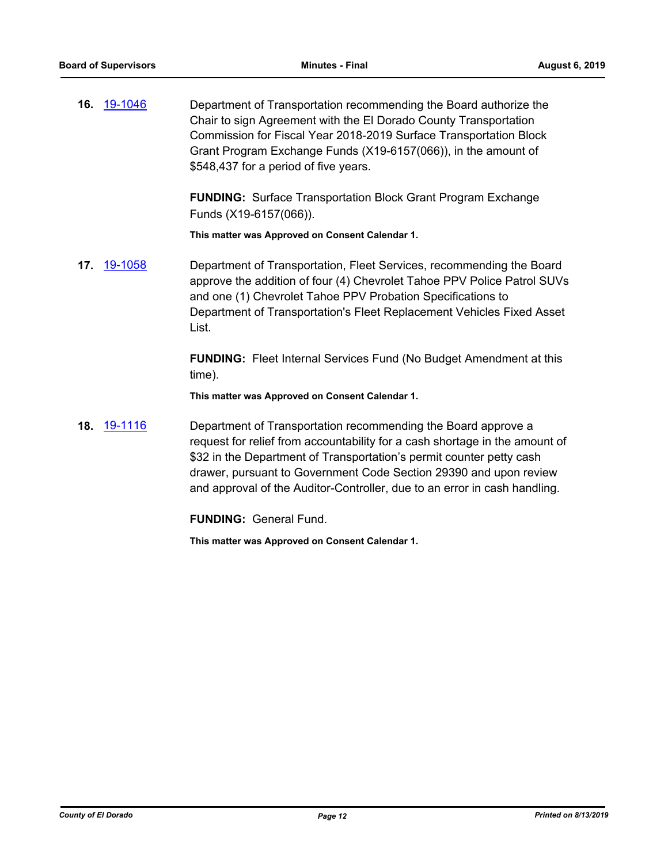**16.** [19-1046](http://eldorado.legistar.com/gateway.aspx?m=l&id=/matter.aspx?key=26368) Department of Transportation recommending the Board authorize the Chair to sign Agreement with the El Dorado County Transportation Commission for Fiscal Year 2018-2019 Surface Transportation Block Grant Program Exchange Funds (X19-6157(066)), in the amount of \$548,437 for a period of five years.

> **FUNDING:** Surface Transportation Block Grant Program Exchange Funds (X19-6157(066)).

**This matter was Approved on Consent Calendar 1.**

**17.** [19-1058](http://eldorado.legistar.com/gateway.aspx?m=l&id=/matter.aspx?key=26380) Department of Transportation, Fleet Services, recommending the Board approve the addition of four (4) Chevrolet Tahoe PPV Police Patrol SUVs and one (1) Chevrolet Tahoe PPV Probation Specifications to Department of Transportation's Fleet Replacement Vehicles Fixed Asset List.

> **FUNDING:** Fleet Internal Services Fund (No Budget Amendment at this time).

**This matter was Approved on Consent Calendar 1.**

**18.** [19-1116](http://eldorado.legistar.com/gateway.aspx?m=l&id=/matter.aspx?key=26438) Department of Transportation recommending the Board approve a request for relief from accountability for a cash shortage in the amount of \$32 in the Department of Transportation's permit counter petty cash drawer, pursuant to Government Code Section 29390 and upon review and approval of the Auditor-Controller, due to an error in cash handling.

**FUNDING:** General Fund.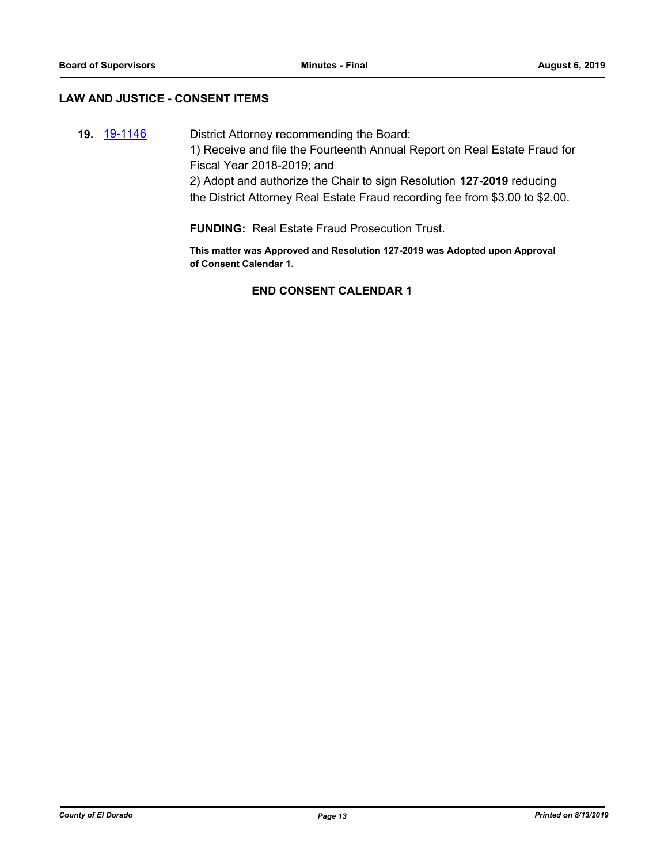## **LAW AND JUSTICE - CONSENT ITEMS**

**19.** [19-1146](http://eldorado.legistar.com/gateway.aspx?m=l&id=/matter.aspx?key=26468) District Attorney recommending the Board: 1) Receive and file the Fourteenth Annual Report on Real Estate Fraud for Fiscal Year 2018-2019; and 2) Adopt and authorize the Chair to sign Resolution **127-2019** reducing the District Attorney Real Estate Fraud recording fee from \$3.00 to \$2.00.

**FUNDING:** Real Estate Fraud Prosecution Trust.

**This matter was Approved and Resolution 127-2019 was Adopted upon Approval of Consent Calendar 1.**

## **END CONSENT CALENDAR 1**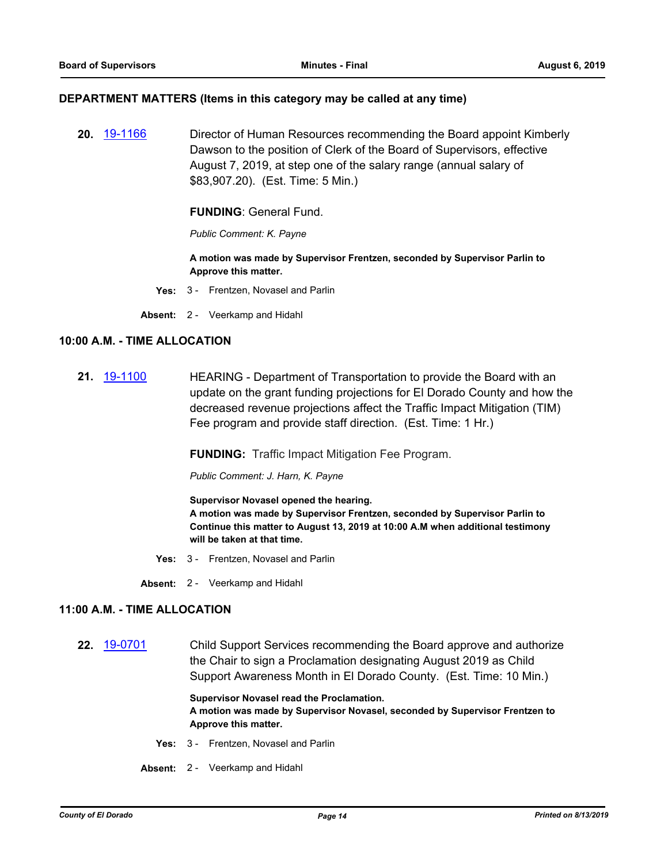#### **DEPARTMENT MATTERS (Items in this category may be called at any time)**

**20.** [19-1166](http://eldorado.legistar.com/gateway.aspx?m=l&id=/matter.aspx?key=26489) Director of Human Resources recommending the Board appoint Kimberly Dawson to the position of Clerk of the Board of Supervisors, effective August 7, 2019, at step one of the salary range (annual salary of \$83,907.20). (Est. Time: 5 Min.)

#### **FUNDING**: General Fund.

*Public Comment: K. Payne*

**A motion was made by Supervisor Frentzen, seconded by Supervisor Parlin to Approve this matter.**

- **Yes:** 3 Frentzen, Novasel and Parlin
- **Absent:** 2 Veerkamp and Hidahl

## **10:00 A.M. - TIME ALLOCATION**

**21.** [19-1100](http://eldorado.legistar.com/gateway.aspx?m=l&id=/matter.aspx?key=26422) HEARING - Department of Transportation to provide the Board with an update on the grant funding projections for El Dorado County and how the decreased revenue projections affect the Traffic Impact Mitigation (TIM) Fee program and provide staff direction. (Est. Time: 1 Hr.)

**FUNDING:** Traffic Impact Mitigation Fee Program.

*Public Comment: J. Harn, K. Payne*

**Supervisor Novasel opened the hearing.**

**A motion was made by Supervisor Frentzen, seconded by Supervisor Parlin to Continue this matter to August 13, 2019 at 10:00 A.M when additional testimony will be taken at that time.**

- **Yes:** 3 Frentzen, Novasel and Parlin
- **Absent:** 2 Veerkamp and Hidahl

#### **11:00 A.M. - TIME ALLOCATION**

**22.** [19-0701](http://eldorado.legistar.com/gateway.aspx?m=l&id=/matter.aspx?key=26023) Child Support Services recommending the Board approve and authorize the Chair to sign a Proclamation designating August 2019 as Child Support Awareness Month in El Dorado County. (Est. Time: 10 Min.)

> **Supervisor Novasel read the Proclamation. A motion was made by Supervisor Novasel, seconded by Supervisor Frentzen to Approve this matter.**

- **Yes:** 3 Frentzen, Novasel and Parlin
- **Absent:** 2 Veerkamp and Hidahl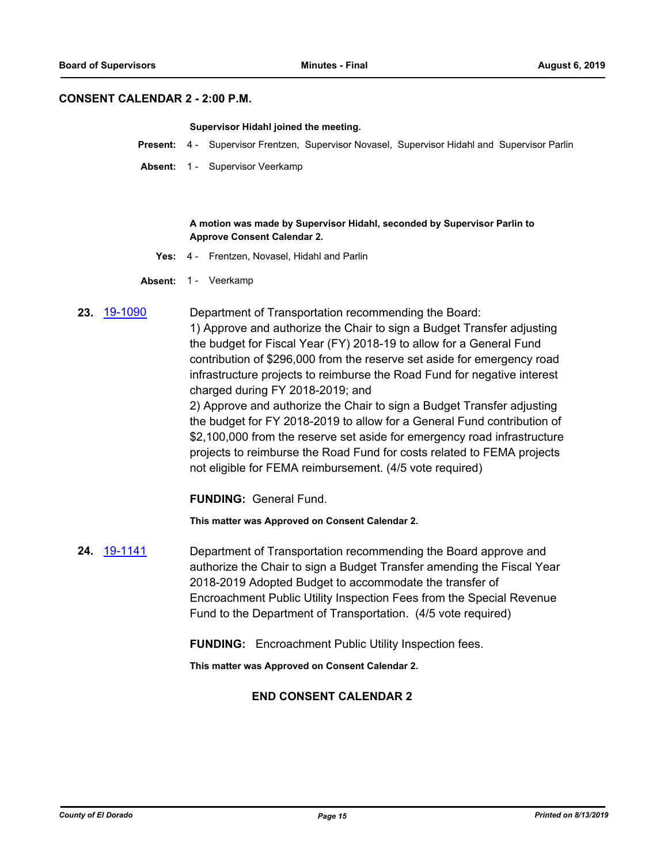#### **CONSENT CALENDAR 2 - 2:00 P.M.**

#### **Supervisor Hidahl joined the meeting.**

- **Present:** 4 Supervisor Frentzen, Supervisor Novasel, Supervisor Hidahl and Supervisor Parlin
- **Absent:** 1 Supervisor Veerkamp

#### **A motion was made by Supervisor Hidahl, seconded by Supervisor Parlin to Approve Consent Calendar 2.**

- **Yes:** 4 Frentzen, Novasel, Hidahl and Parlin
- Absent: 1 Veerkamp

**23.** [19-1090](http://eldorado.legistar.com/gateway.aspx?m=l&id=/matter.aspx?key=26412) Department of Transportation recommending the Board: 1) Approve and authorize the Chair to sign a Budget Transfer adjusting the budget for Fiscal Year (FY) 2018-19 to allow for a General Fund contribution of \$296,000 from the reserve set aside for emergency road infrastructure projects to reimburse the Road Fund for negative interest charged during FY 2018-2019; and 2) Approve and authorize the Chair to sign a Budget Transfer adjusting

the budget for FY 2018-2019 to allow for a General Fund contribution of \$2,100,000 from the reserve set aside for emergency road infrastructure projects to reimburse the Road Fund for costs related to FEMA projects not eligible for FEMA reimbursement. (4/5 vote required)

**FUNDING:** General Fund.

**This matter was Approved on Consent Calendar 2.**

**24.** [19-1141](http://eldorado.legistar.com/gateway.aspx?m=l&id=/matter.aspx?key=26463) Department of Transportation recommending the Board approve and authorize the Chair to sign a Budget Transfer amending the Fiscal Year 2018-2019 Adopted Budget to accommodate the transfer of Encroachment Public Utility Inspection Fees from the Special Revenue Fund to the Department of Transportation. (4/5 vote required)

**FUNDING:** Encroachment Public Utility Inspection fees.

**This matter was Approved on Consent Calendar 2.**

## **END CONSENT CALENDAR 2**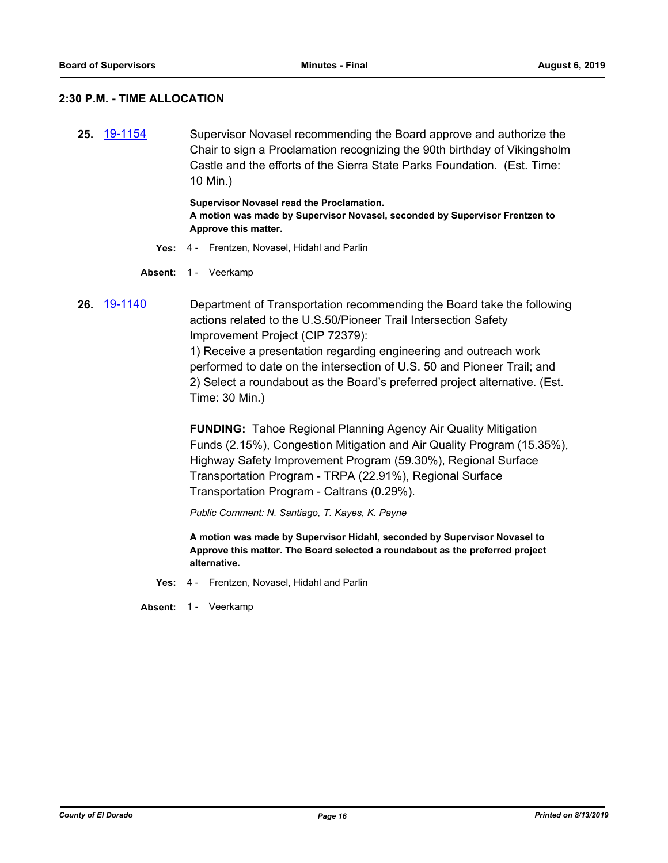## **2:30 P.M. - TIME ALLOCATION**

**25.** [19-1154](http://eldorado.legistar.com/gateway.aspx?m=l&id=/matter.aspx?key=26476) Supervisor Novasel recommending the Board approve and authorize the Chair to sign a Proclamation recognizing the 90th birthday of Vikingsholm Castle and the efforts of the Sierra State Parks Foundation. (Est. Time: 10 Min.)

> **Supervisor Novasel read the Proclamation. A motion was made by Supervisor Novasel, seconded by Supervisor Frentzen to Approve this matter.**

**Yes:** 4 - Frentzen, Novasel, Hidahl and Parlin

Absent: 1 - Veerkamp

**26.** [19-1140](http://eldorado.legistar.com/gateway.aspx?m=l&id=/matter.aspx?key=26462) Department of Transportation recommending the Board take the following actions related to the U.S.50/Pioneer Trail Intersection Safety Improvement Project (CIP 72379):

> 1) Receive a presentation regarding engineering and outreach work performed to date on the intersection of U.S. 50 and Pioneer Trail; and 2) Select a roundabout as the Board's preferred project alternative. (Est. Time: 30 Min.)

**FUNDING:** Tahoe Regional Planning Agency Air Quality Mitigation Funds (2.15%), Congestion Mitigation and Air Quality Program (15.35%), Highway Safety Improvement Program (59.30%), Regional Surface Transportation Program - TRPA (22.91%), Regional Surface Transportation Program - Caltrans (0.29%).

*Public Comment: N. Santiago, T. Kayes, K. Payne*

**A motion was made by Supervisor Hidahl, seconded by Supervisor Novasel to Approve this matter. The Board selected a roundabout as the preferred project alternative.**

**Yes:** 4 - Frentzen, Novasel, Hidahl and Parlin

Absent: 1 - Veerkamp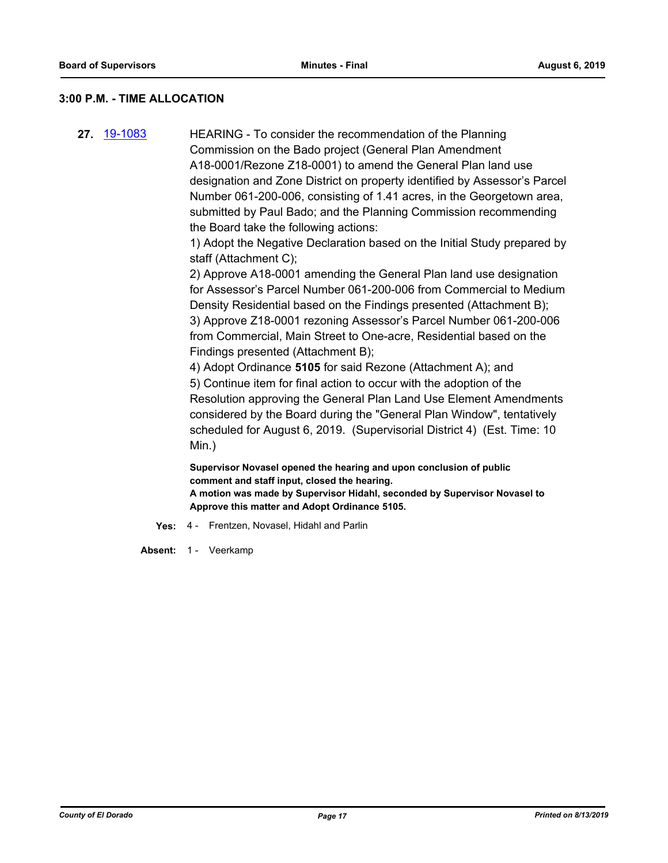## **3:00 P.M. - TIME ALLOCATION**

**27.** [19-1083](http://eldorado.legistar.com/gateway.aspx?m=l&id=/matter.aspx?key=26405) HEARING - To consider the recommendation of the Planning Commission on the Bado project (General Plan Amendment A18-0001/Rezone Z18-0001) to amend the General Plan land use designation and Zone District on property identified by Assessor's Parcel Number 061-200-006, consisting of 1.41 acres, in the Georgetown area, submitted by Paul Bado; and the Planning Commission recommending the Board take the following actions:

> 1) Adopt the Negative Declaration based on the Initial Study prepared by staff (Attachment C);

> 2) Approve A18-0001 amending the General Plan land use designation for Assessor's Parcel Number 061-200-006 from Commercial to Medium Density Residential based on the Findings presented (Attachment B); 3) Approve Z18-0001 rezoning Assessor's Parcel Number 061-200-006 from Commercial, Main Street to One-acre, Residential based on the Findings presented (Attachment B);

4) Adopt Ordinance **5105** for said Rezone (Attachment A); and 5) Continue item for final action to occur with the adoption of the Resolution approving the General Plan Land Use Element Amendments considered by the Board during the "General Plan Window", tentatively scheduled for August 6, 2019. (Supervisorial District 4) (Est. Time: 10 Min.)

**Supervisor Novasel opened the hearing and upon conclusion of public comment and staff input, closed the hearing. A motion was made by Supervisor Hidahl, seconded by Supervisor Novasel to Approve this matter and Adopt Ordinance 5105.**

**Yes:** 4 - Frentzen, Novasel, Hidahl and Parlin

Absent: 1 - Veerkamp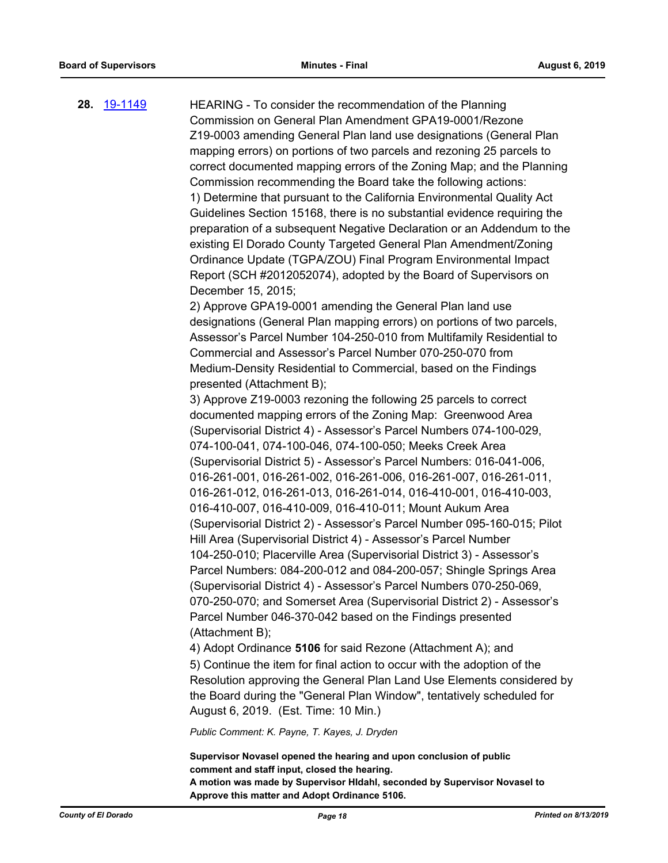**28.** [19-1149](http://eldorado.legistar.com/gateway.aspx?m=l&id=/matter.aspx?key=26471) HEARING - To consider the recommendation of the Planning Commission on General Plan Amendment GPA19-0001/Rezone Z19-0003 amending General Plan land use designations (General Plan mapping errors) on portions of two parcels and rezoning 25 parcels to correct documented mapping errors of the Zoning Map; and the Planning Commission recommending the Board take the following actions: 1) Determine that pursuant to the California Environmental Quality Act Guidelines Section 15168, there is no substantial evidence requiring the preparation of a subsequent Negative Declaration or an Addendum to the existing El Dorado County Targeted General Plan Amendment/Zoning Ordinance Update (TGPA/ZOU) Final Program Environmental Impact Report (SCH #2012052074), adopted by the Board of Supervisors on December 15, 2015; 2) Approve GPA19-0001 amending the General Plan land use designations (General Plan mapping errors) on portions of two parcels, Assessor's Parcel Number 104-250-010 from Multifamily Residential to Commercial and Assessor's Parcel Number 070-250-070 from Medium-Density Residential to Commercial, based on the Findings presented (Attachment B); 3) Approve Z19-0003 rezoning the following 25 parcels to correct documented mapping errors of the Zoning Map: Greenwood Area (Supervisorial District 4) - Assessor's Parcel Numbers 074-100-029, 074-100-041, 074-100-046, 074-100-050; Meeks Creek Area (Supervisorial District 5) - Assessor's Parcel Numbers: 016-041-006, 016-261-001, 016-261-002, 016-261-006, 016-261-007, 016-261-011,

> 016-261-012, 016-261-013, 016-261-014, 016-410-001, 016-410-003, 016-410-007, 016-410-009, 016-410-011; Mount Aukum Area (Supervisorial District 2) - Assessor's Parcel Number 095-160-015; Pilot Hill Area (Supervisorial District 4) - Assessor's Parcel Number 104-250-010; Placerville Area (Supervisorial District 3) - Assessor's Parcel Numbers: 084-200-012 and 084-200-057; Shingle Springs Area (Supervisorial District 4) - Assessor's Parcel Numbers 070-250-069, 070-250-070; and Somerset Area (Supervisorial District 2) - Assessor's Parcel Number 046-370-042 based on the Findings presented (Attachment B);

4) Adopt Ordinance **5106** for said Rezone (Attachment A); and

5) Continue the item for final action to occur with the adoption of the Resolution approving the General Plan Land Use Elements considered by the Board during the "General Plan Window", tentatively scheduled for August 6, 2019. (Est. Time: 10 Min.)

*Public Comment: K. Payne, T. Kayes, J. Dryden*

**Supervisor Novasel opened the hearing and upon conclusion of public comment and staff input, closed the hearing. A motion was made by Supervisor HIdahl, seconded by Supervisor Novasel to Approve this matter and Adopt Ordinance 5106.**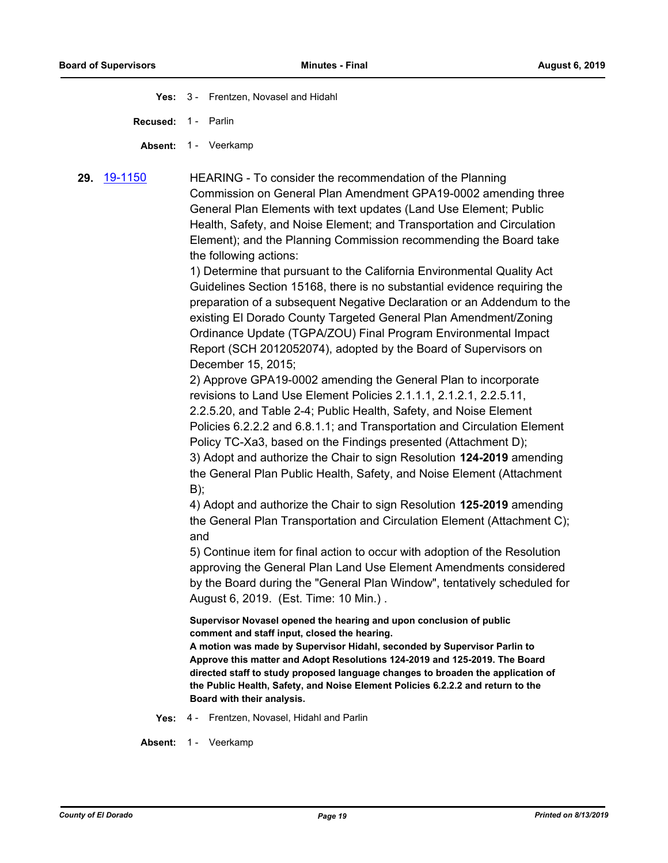**Yes:** 3 - Frentzen, Novasel and Hidahl

**Recused:** 1 - Parlin

Absent: 1 - Veerkamp

**29.** [19-1150](http://eldorado.legistar.com/gateway.aspx?m=l&id=/matter.aspx?key=26472) HEARING - To consider the recommendation of the Planning Commission on General Plan Amendment GPA19-0002 amending three General Plan Elements with text updates (Land Use Element; Public Health, Safety, and Noise Element; and Transportation and Circulation Element); and the Planning Commission recommending the Board take the following actions:

> 1) Determine that pursuant to the California Environmental Quality Act Guidelines Section 15168, there is no substantial evidence requiring the preparation of a subsequent Negative Declaration or an Addendum to the existing El Dorado County Targeted General Plan Amendment/Zoning Ordinance Update (TGPA/ZOU) Final Program Environmental Impact Report (SCH 2012052074), adopted by the Board of Supervisors on December 15, 2015;

2) Approve GPA19-0002 amending the General Plan to incorporate revisions to Land Use Element Policies 2.1.1.1, 2.1.2.1, 2.2.5.11, 2.2.5.20, and Table 2-4; Public Health, Safety, and Noise Element Policies 6.2.2.2 and 6.8.1.1; and Transportation and Circulation Element Policy TC-Xa3, based on the Findings presented (Attachment D); 3) Adopt and authorize the Chair to sign Resolution **124-2019** amending the General Plan Public Health, Safety, and Noise Element (Attachment B);

4) Adopt and authorize the Chair to sign Resolution **125-2019** amending the General Plan Transportation and Circulation Element (Attachment C); and

5) Continue item for final action to occur with adoption of the Resolution approving the General Plan Land Use Element Amendments considered by the Board during the "General Plan Window", tentatively scheduled for August 6, 2019. (Est. Time: 10 Min.) .

**Supervisor Novasel opened the hearing and upon conclusion of public comment and staff input, closed the hearing.**

**A motion was made by Supervisor Hidahl, seconded by Supervisor Parlin to Approve this matter and Adopt Resolutions 124-2019 and 125-2019. The Board directed staff to study proposed language changes to broaden the application of the Public Health, Safety, and Noise Element Policies 6.2.2.2 and return to the Board with their analysis.**

**Yes:** 4 - Frentzen, Novasel, Hidahl and Parlin

Absent: 1 - Veerkamp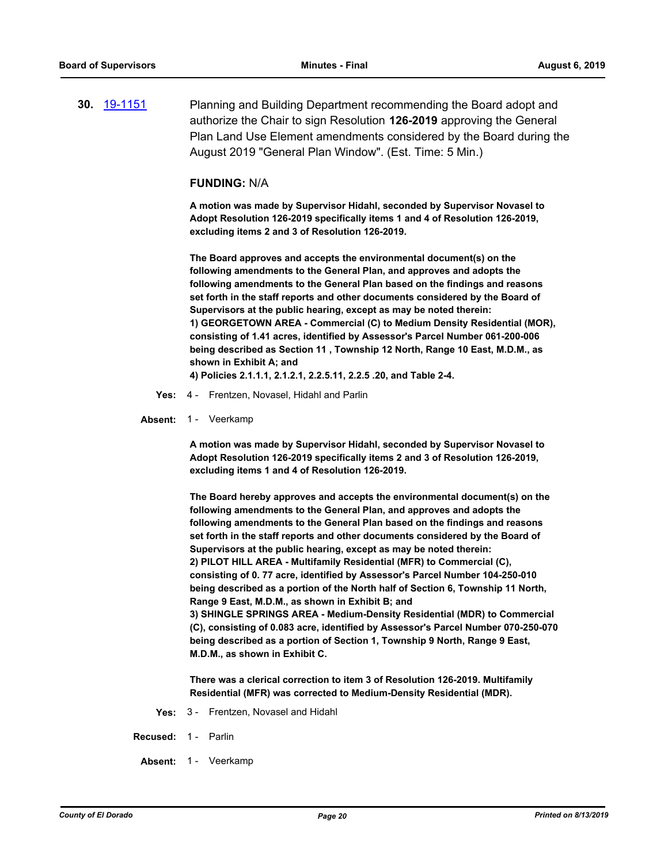**30.** [19-1151](http://eldorado.legistar.com/gateway.aspx?m=l&id=/matter.aspx?key=26473) Planning and Building Department recommending the Board adopt and authorize the Chair to sign Resolution **126-2019** approving the General Plan Land Use Element amendments considered by the Board during the August 2019 "General Plan Window". (Est. Time: 5 Min.)

#### **FUNDING:** N/A

**A motion was made by Supervisor Hidahl, seconded by Supervisor Novasel to Adopt Resolution 126-2019 specifically items 1 and 4 of Resolution 126-2019, excluding items 2 and 3 of Resolution 126-2019.**

**The Board approves and accepts the environmental document(s) on the following amendments to the General Plan, and approves and adopts the following amendments to the General Plan based on the findings and reasons set forth in the staff reports and other documents considered by the Board of Supervisors at the public hearing, except as may be noted therein: 1) GEORGETOWN AREA - Commercial (C) to Medium Density Residential (MOR), consisting of 1.41 acres, identified by Assessor's Parcel Number 061-200-006 being described as Section 11 , Township 12 North, Range 10 East, M.D.M., as shown in Exhibit A; and** 

**4) Policies 2.1.1.1, 2.1.2.1, 2.2.5.11, 2.2.5 .20, and Table 2-4.**

- **Yes:** 4 Frentzen, Novasel, Hidahl and Parlin
- Absent: 1 Veerkamp

**A motion was made by Supervisor Hidahl, seconded by Supervisor Novasel to Adopt Resolution 126-2019 specifically items 2 and 3 of Resolution 126-2019, excluding items 1 and 4 of Resolution 126-2019.**

**The Board hereby approves and accepts the environmental document(s) on the following amendments to the General Plan, and approves and adopts the following amendments to the General Plan based on the findings and reasons set forth in the staff reports and other documents considered by the Board of Supervisors at the public hearing, except as may be noted therein: 2) PILOT HILL AREA - Multifamily Residential (MFR) to Commercial (C), consisting of 0. 77 acre, identified by Assessor's Parcel Number 104-250-010 being described as a portion of the North half of Section 6, Township 11 North, Range 9 East, M.D.M., as shown in Exhibit B; and 3) SHINGLE SPRINGS AREA - Medium-Density Residential (MDR) to Commercial (C), consisting of 0.083 acre, identified by Assessor's Parcel Number 070-250-070 being described as a portion of Section 1, Township 9 North, Range 9 East, M.D.M., as shown in Exhibit C.** 

**There was a clerical correction to item 3 of Resolution 126-2019. Multifamily Residential (MFR) was corrected to Medium-Density Residential (MDR).**

- **Yes:** 3 Frentzen, Novasel and Hidahl
- **Recused:** 1 Parlin
- Absent: 1 Veerkamp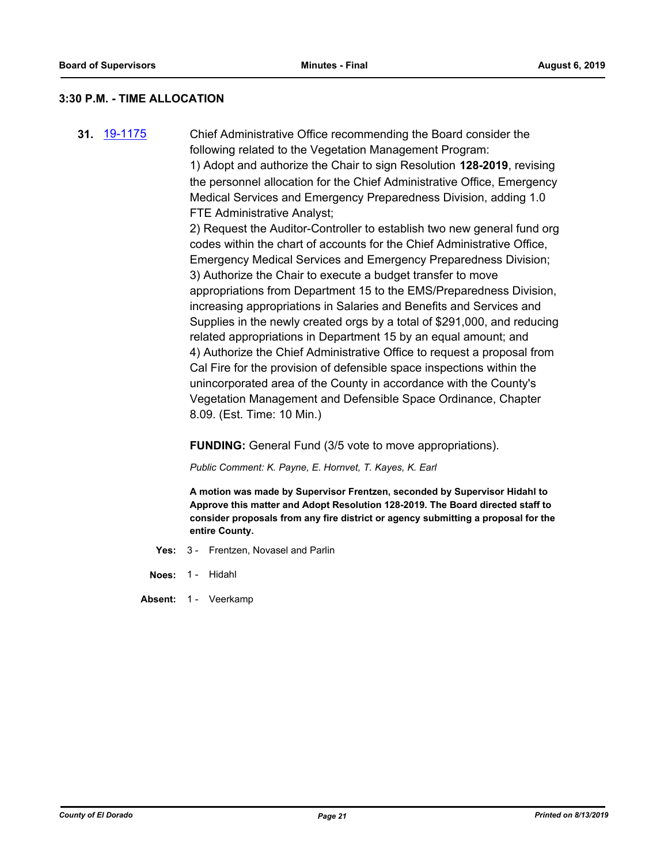## **3:30 P.M. - TIME ALLOCATION**

**31.** [19-1175](http://eldorado.legistar.com/gateway.aspx?m=l&id=/matter.aspx?key=26498) Chief Administrative Office recommending the Board consider the following related to the Vegetation Management Program: 1) Adopt and authorize the Chair to sign Resolution **128-2019**, revising the personnel allocation for the Chief Administrative Office, Emergency Medical Services and Emergency Preparedness Division, adding 1.0 FTE Administrative Analyst;

2) Request the Auditor-Controller to establish two new general fund org codes within the chart of accounts for the Chief Administrative Office, Emergency Medical Services and Emergency Preparedness Division; 3) Authorize the Chair to execute a budget transfer to move appropriations from Department 15 to the EMS/Preparedness Division, increasing appropriations in Salaries and Benefits and Services and Supplies in the newly created orgs by a total of \$291,000, and reducing related appropriations in Department 15 by an equal amount; and 4) Authorize the Chief Administrative Office to request a proposal from Cal Fire for the provision of defensible space inspections within the unincorporated area of the County in accordance with the County's Vegetation Management and Defensible Space Ordinance, Chapter 8.09. (Est. Time: 10 Min.)

**FUNDING:** General Fund (3/5 vote to move appropriations).

*Public Comment: K. Payne, E. Hornvet, T. Kayes, K. Earl*

**A motion was made by Supervisor Frentzen, seconded by Supervisor Hidahl to Approve this matter and Adopt Resolution 128-2019. The Board directed staff to consider proposals from any fire district or agency submitting a proposal for the entire County.**

- **Yes:** 3 Frentzen, Novasel and Parlin
- **Noes:** 1 Hidahl
- Absent: 1 Veerkamp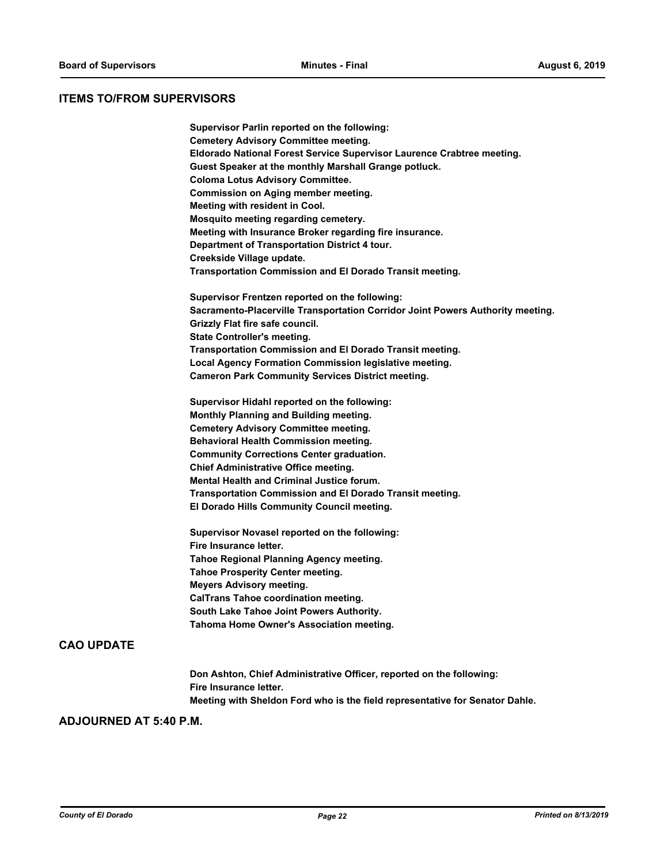## **ITEMS TO/FROM SUPERVISORS**

| Supervisor Parlin reported on the following:                                   |
|--------------------------------------------------------------------------------|
| <b>Cemetery Advisory Committee meeting.</b>                                    |
| Eldorado National Forest Service Supervisor Laurence Crabtree meeting.         |
| Guest Speaker at the monthly Marshall Grange potluck.                          |
| <b>Coloma Lotus Advisory Committee.</b>                                        |
| <b>Commission on Aging member meeting.</b>                                     |
| Meeting with resident in Cool.                                                 |
| Mosquito meeting regarding cemetery.                                           |
| Meeting with Insurance Broker regarding fire insurance.                        |
| Department of Transportation District 4 tour.                                  |
| Creekside Village update.                                                      |
| Transportation Commission and El Dorado Transit meeting.                       |
| Supervisor Frentzen reported on the following:                                 |
| Sacramento-Placerville Transportation Corridor Joint Powers Authority meeting. |
| Grizzly Flat fire safe council.                                                |
| <b>State Controller's meeting.</b>                                             |
| Transportation Commission and El Dorado Transit meeting.                       |
| Local Agency Formation Commission legislative meeting.                         |
| <b>Cameron Park Community Services District meeting.</b>                       |
| Supervisor Hidahl reported on the following:                                   |
| Monthly Planning and Building meeting.                                         |
| <b>Cemetery Advisory Committee meeting.</b>                                    |
| <b>Behavioral Health Commission meeting.</b>                                   |
| <b>Community Corrections Center graduation.</b>                                |
| <b>Chief Administrative Office meeting.</b>                                    |
| <b>Mental Health and Criminal Justice forum.</b>                               |
| Transportation Commission and El Dorado Transit meeting.                       |
| El Dorado Hills Community Council meeting.                                     |
| Supervisor Novasel reported on the following:                                  |
| Fire Insurance letter.                                                         |
| Tahoe Regional Planning Agency meeting.                                        |
| <b>Tahoe Prosperity Center meeting.</b>                                        |
| <b>Meyers Advisory meeting.</b>                                                |
| <b>CalTrans Tahoe coordination meeting.</b>                                    |
| South Lake Tahoe Joint Powers Authority.                                       |
| Tahoma Home Owner's Association meeting.                                       |
|                                                                                |
|                                                                                |
|                                                                                |

**Don Ashton, Chief Administrative Officer, reported on the following: Fire Insurance letter. Meeting with Sheldon Ford who is the field representative for Senator Dahle.**

## **ADJOURNED AT 5:40 P.M.**

**CAO UPDATE**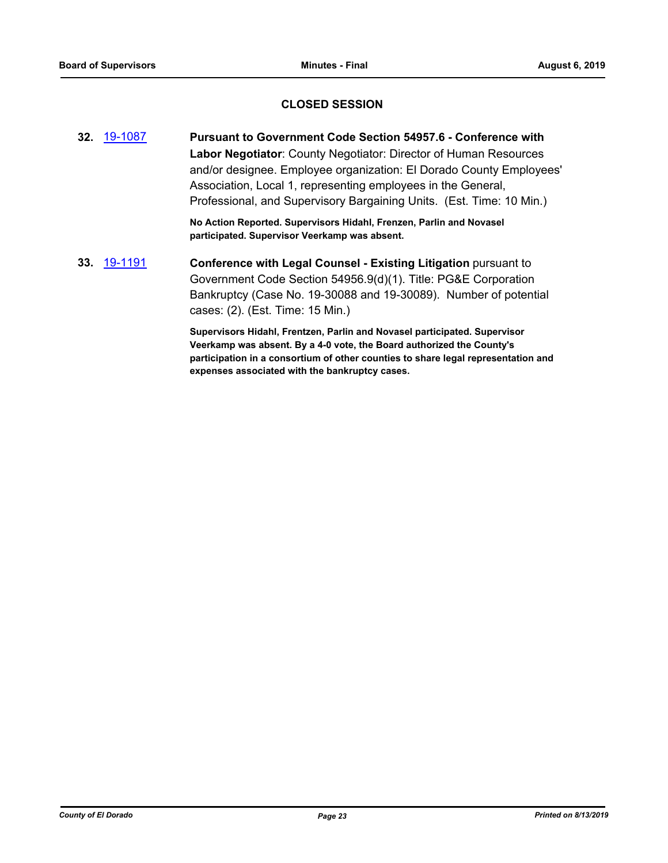## **CLOSED SESSION**

**32.** [19-1087](http://eldorado.legistar.com/gateway.aspx?m=l&id=/matter.aspx?key=26409) **Pursuant to Government Code Section 54957.6 - Conference with Labor Negotiator**: County Negotiator: Director of Human Resources and/or designee. Employee organization: El Dorado County Employees' Association, Local 1, representing employees in the General, Professional, and Supervisory Bargaining Units. (Est. Time: 10 Min.)

> **No Action Reported. Supervisors Hidahl, Frenzen, Parlin and Novasel participated. Supervisor Veerkamp was absent.**

**33.** [19-1191](http://eldorado.legistar.com/gateway.aspx?m=l&id=/matter.aspx?key=26514) **Conference with Legal Counsel - Existing Litigation** pursuant to Government Code Section 54956.9(d)(1). Title: PG&E Corporation Bankruptcy (Case No. 19-30088 and 19-30089). Number of potential cases: (2). (Est. Time: 15 Min.)

> **Supervisors Hidahl, Frentzen, Parlin and Novasel participated. Supervisor Veerkamp was absent. By a 4-0 vote, the Board authorized the County's participation in a consortium of other counties to share legal representation and expenses associated with the bankruptcy cases.**